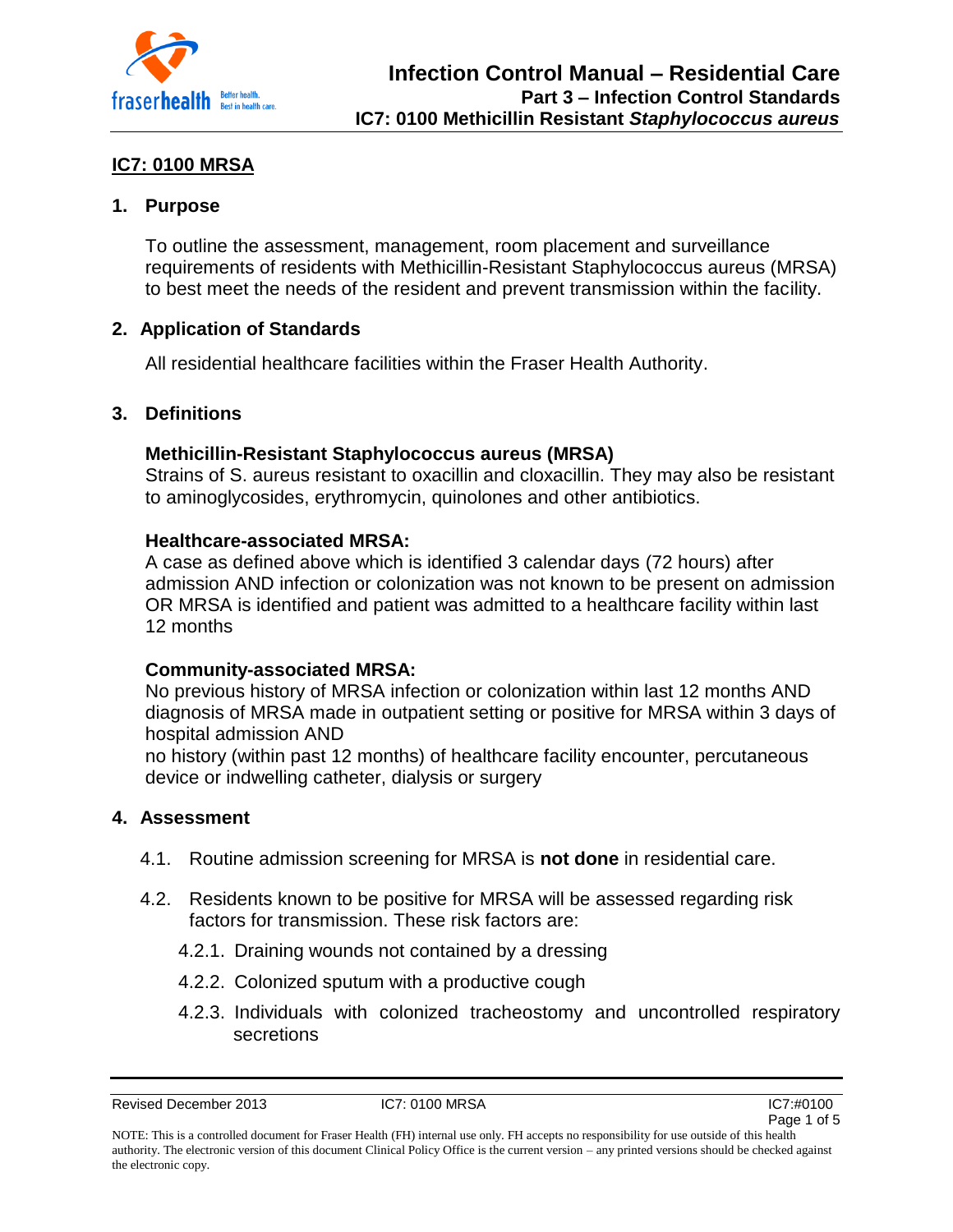

# **IC7: 0100 MRSA**

## **1. Purpose**

To outline the assessment, management, room placement and surveillance requirements of residents with Methicillin-Resistant Staphylococcus aureus (MRSA) to best meet the needs of the resident and prevent transmission within the facility.

## **2. Application of Standards**

All residential healthcare facilities within the Fraser Health Authority.

## **3. Definitions**

## **Methicillin-Resistant Staphylococcus aureus (MRSA)**

Strains of S. aureus resistant to oxacillin and cloxacillin. They may also be resistant to aminoglycosides, erythromycin, quinolones and other antibiotics.

### **Healthcare-associated MRSA:**

A case as defined above which is identified 3 calendar days (72 hours) after admission AND infection or colonization was not known to be present on admission OR MRSA is identified and patient was admitted to a healthcare facility within last 12 months

### **Community-associated MRSA:**

No previous history of MRSA infection or colonization within last 12 months AND diagnosis of MRSA made in outpatient setting or positive for MRSA within 3 days of hospital admission AND

no history (within past 12 months) of healthcare facility encounter, percutaneous device or indwelling catheter, dialysis or surgery

### **4. Assessment**

- 4.1. Routine admission screening for MRSA is **not done** in residential care.
- 4.2. Residents known to be positive for MRSA will be assessed regarding risk factors for transmission. These risk factors are:
	- 4.2.1. Draining wounds not contained by a dressing
	- 4.2.2. Colonized sputum with a productive cough
	- 4.2.3. Individuals with colonized tracheostomy and uncontrolled respiratory secretions

Revised December 2013 **IC7: 0100 MRSA** IC7: 0100 MRSA IC7: 0100 MRSA



NOTE: This is a controlled document for Fraser Health (FH) internal use only. FH accepts no responsibility for use outside of this health authority. The electronic version of this document Clinical Policy Office is the current version – any printed versions should be checked against the electronic copy.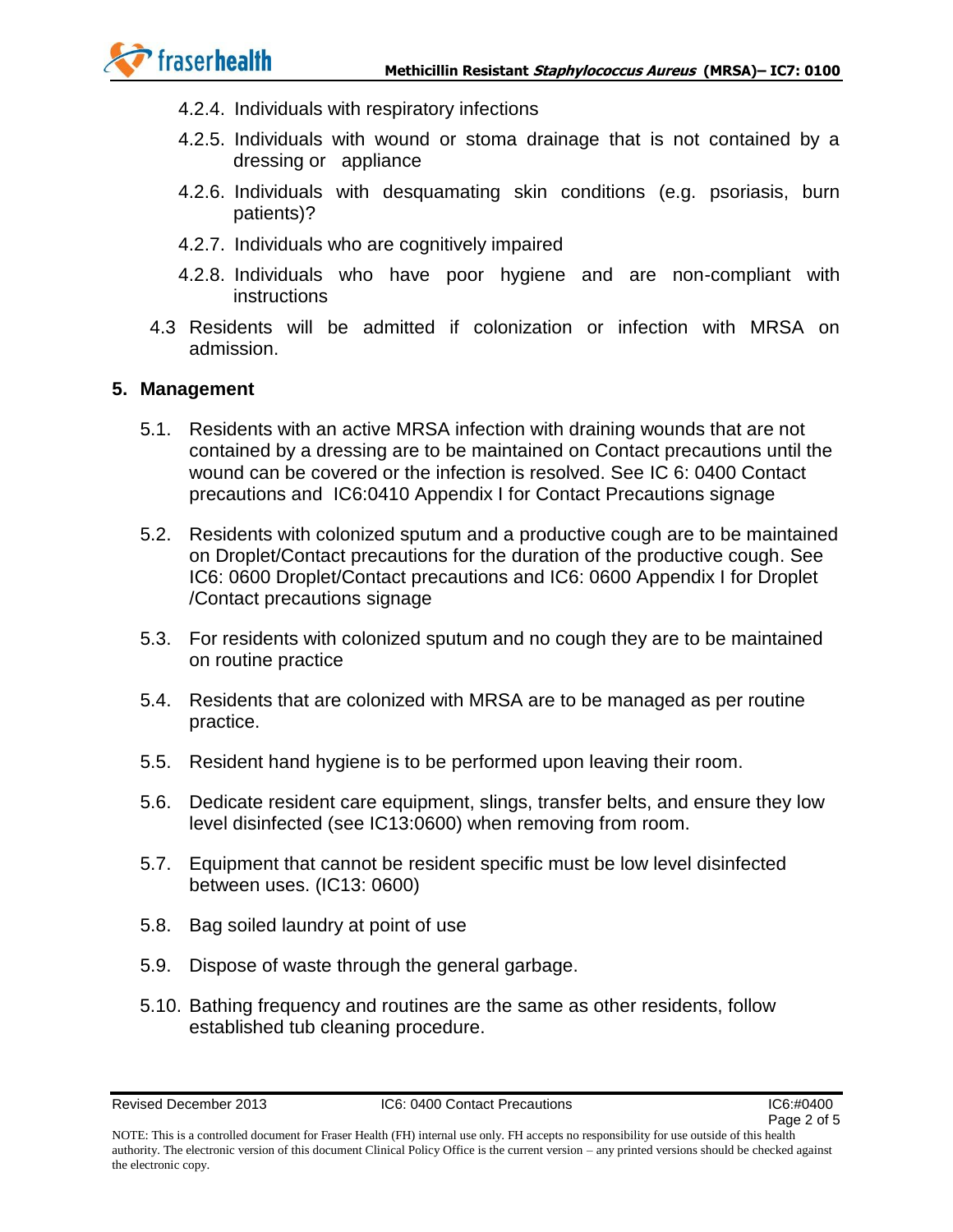

- 4.2.4. Individuals with respiratory infections
- 4.2.5. Individuals with wound or stoma drainage that is not contained by a dressing or appliance
- 4.2.6. Individuals with desquamating skin conditions (e.g. psoriasis, burn patients)?
- 4.2.7. Individuals who are cognitively impaired
- 4.2.8. Individuals who have poor hygiene and are non-compliant with instructions
- 4.3 Residents will be admitted if colonization or infection with MRSA on admission.

#### **5. Management**

- 5.1. Residents with an active MRSA infection with draining wounds that are not contained by a dressing are to be maintained on Contact precautions until the wound can be covered or the infection is resolved. See IC 6: 0400 Contact precautions and IC6:0410 Appendix I for Contact Precautions signage
- 5.2. Residents with colonized sputum and a productive cough are to be maintained on Droplet/Contact precautions for the duration of the productive cough. See IC6: 0600 Droplet/Contact precautions and IC6: 0600 Appendix I for Droplet /Contact precautions signage
- 5.3. For residents with colonized sputum and no cough they are to be maintained on routine practice
- 5.4. Residents that are colonized with MRSA are to be managed as per routine practice.
- 5.5. Resident hand hygiene is to be performed upon leaving their room.
- 5.6. Dedicate resident care equipment, slings, transfer belts, and ensure they low level disinfected (see IC13:0600) when removing from room.
- 5.7. Equipment that cannot be resident specific must be low level disinfected between uses. (IC13: 0600)
- 5.8. Bag soiled laundry at point of use
- 5.9. Dispose of waste through the general garbage.
- 5.10. Bathing frequency and routines are the same as other residents, follow established tub cleaning procedure.

NOTE: This is a controlled document for Fraser Health (FH) internal use only. FH accepts no responsibility for use outside of this health authority. The electronic version of this document Clinical Policy Office is the current version – any printed versions should be checked against the electronic copy.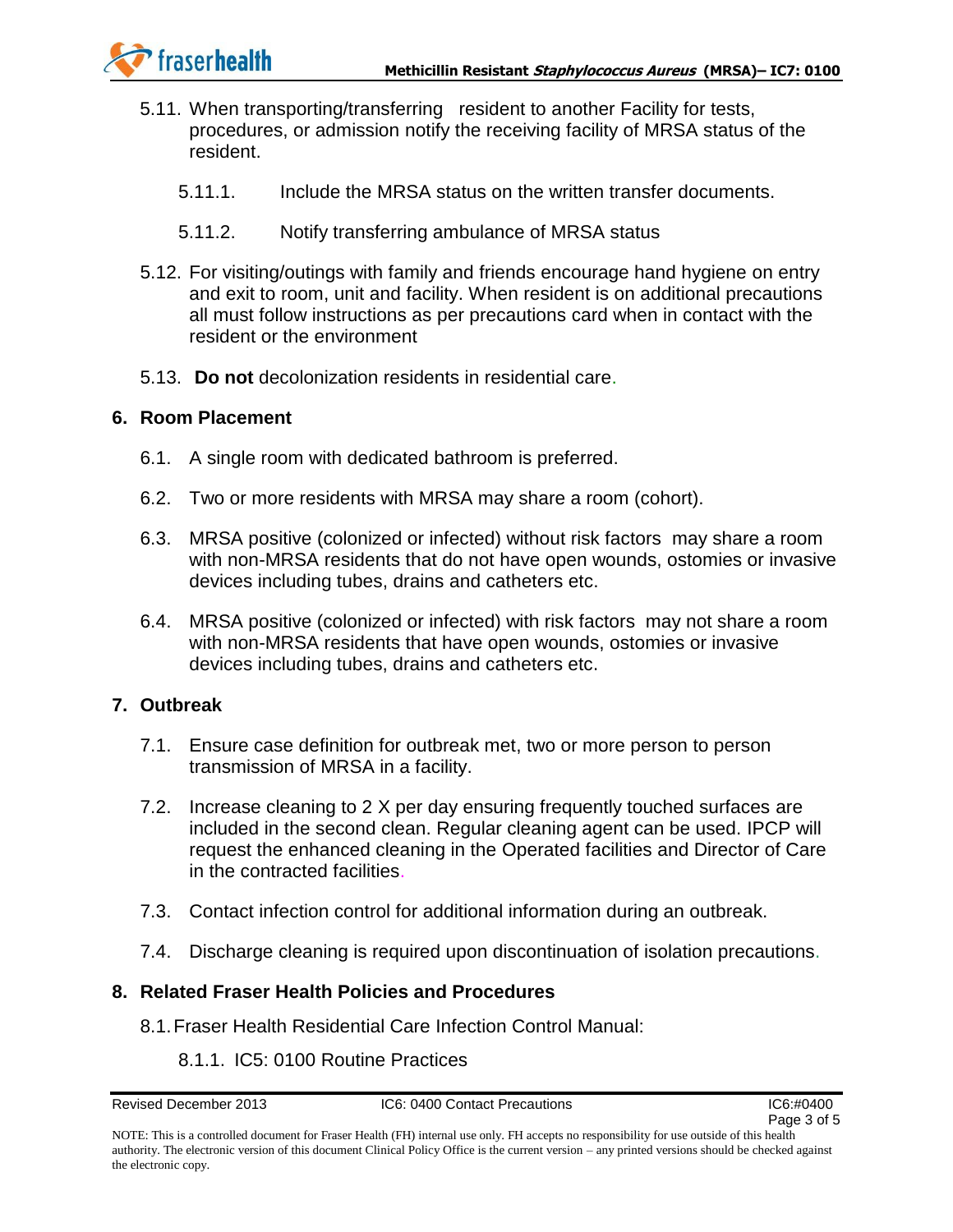

- 5.11. When transporting/transferring resident to another Facility for tests, procedures, or admission notify the receiving facility of MRSA status of the resident.
	- 5.11.1. Include the MRSA status on the written transfer documents.
	- 5.11.2. Notify transferring ambulance of MRSA status
- 5.12. For visiting/outings with family and friends encourage hand hygiene on entry and exit to room, unit and facility. When resident is on additional precautions all must follow instructions as per precautions card when in contact with the resident or the environment
- 5.13. **Do not** decolonization residents in residential care.

#### **6. Room Placement**

- 6.1. A single room with dedicated bathroom is preferred.
- 6.2. Two or more residents with MRSA may share a room (cohort).
- 6.3. MRSA positive (colonized or infected) without risk factors may share a room with non-MRSA residents that do not have open wounds, ostomies or invasive devices including tubes, drains and catheters etc.
- 6.4. MRSA positive (colonized or infected) with risk factors may not share a room with non-MRSA residents that have open wounds, ostomies or invasive devices including tubes, drains and catheters etc.

#### **7. Outbreak**

- 7.1. Ensure case definition for outbreak met, two or more person to person transmission of MRSA in a facility.
- 7.2. Increase cleaning to 2 X per day ensuring frequently touched surfaces are included in the second clean. Regular cleaning agent can be used. IPCP will request the enhanced cleaning in the Operated facilities and Director of Care in the contracted facilities.
- 7.3. Contact infection control for additional information during an outbreak.
- 7.4. Discharge cleaning is required upon discontinuation of isolation precautions.

#### **8. Related Fraser Health Policies and Procedures**

- 8.1.Fraser Health Residential Care Infection Control Manual:
	- 8.1.1. IC5: 0100 Routine Practices

NOTE: This is a controlled document for Fraser Health (FH) internal use only. FH accepts no responsibility for use outside of this health authority. The electronic version of this document Clinical Policy Office is the current version – any printed versions should be checked against the electronic copy.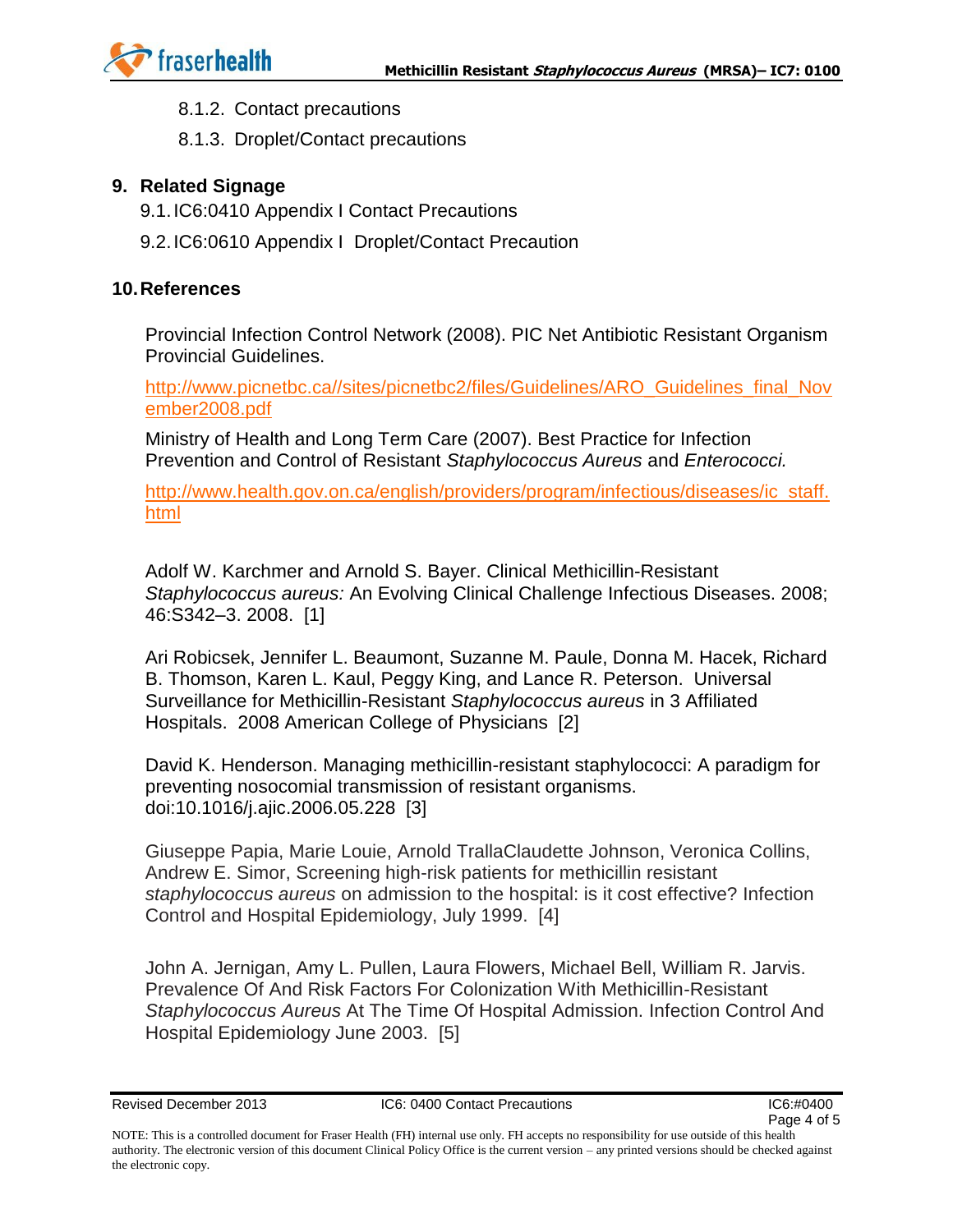

- 8.1.2. Contact precautions
- 8.1.3. Droplet/Contact precautions

### **9. Related Signage**

- 9.1.IC6:0410 Appendix I Contact Precautions
- 9.2.IC6:0610 Appendix I Droplet/Contact Precaution

#### **10.References**

Provincial Infection Control Network (2008). PIC Net Antibiotic Resistant Organism Provincial Guidelines.

[http://www.picnetbc.ca//sites/picnetbc2/files/Guidelines/ARO\\_Guidelines\\_final\\_Nov](http://www.picnetbc.ca/sites/picnetbc2/files/Guidelines/ARO_Guidelines_final_November2008.pdf) [ember2008.pdf](http://www.picnetbc.ca/sites/picnetbc2/files/Guidelines/ARO_Guidelines_final_November2008.pdf)

Ministry of Health and Long Term Care (2007). Best Practice for Infection Prevention and Control of Resistant *Staphylococcus Aureus* and *Enterococci.*

[http://www.health.gov.on.ca/english/providers/program/infectious/diseases/ic\\_staff.](http://www.health.gov.on.ca/english/providers/program/infectious/diseases/ic_staff.html) [html](http://www.health.gov.on.ca/english/providers/program/infectious/diseases/ic_staff.html)

Adolf W. Karchmer and Arnold S. Bayer. Clinical Methicillin-Resistant *Staphylococcus aureus:* An Evolving Clinical Challenge Infectious Diseases. 2008; 46:S342–3. 2008. [1]

Ari Robicsek, Jennifer L. Beaumont, Suzanne M. Paule, Donna M. Hacek, Richard B. Thomson, Karen L. Kaul, Peggy King, and Lance R. Peterson. Universal Surveillance for Methicillin-Resistant *Staphylococcus aureus* in 3 Affiliated Hospitals. 2008 American College of Physicians [2]

David K. Henderson. Managing methicillin-resistant staphylococci: A paradigm for preventing nosocomial transmission of resistant organisms. doi:10.1016/j.ajic.2006.05.228 [3]

Giuseppe Papia, Marie Louie, Arnold TrallaClaudette Johnson, Veronica Collins, Andrew E. Simor, Screening high-risk patients for methicillin resistant *staphylococcus aureus* on admission to the hospital: is it cost effective? Infection Control and Hospital Epidemiology, July 1999. [4]

John A. Jernigan, Amy L. Pullen, Laura Flowers, Michael Bell, William R. Jarvis. Prevalence Of And Risk Factors For Colonization With Methicillin-Resistant *Staphylococcus Aureus* At The Time Of Hospital Admission. Infection Control And Hospital Epidemiology June 2003. [5]

NOTE: This is a controlled document for Fraser Health (FH) internal use only. FH accepts no responsibility for use outside of this health authority. The electronic version of this document Clinical Policy Office is the current version – any printed versions should be checked against the electronic copy.